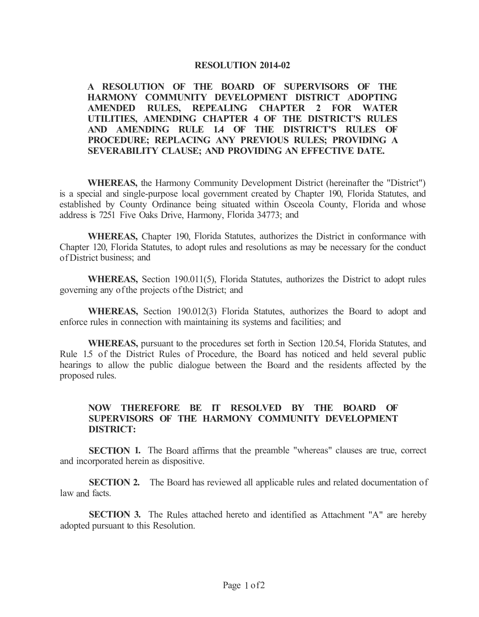## **RESOLUTION 2014-02**

**A RESOLUTION OF THE BOARD OF SUPERVISORS OF THE HARMONY COMMUNITY DEVELOPMENT DISTRICT ADOPTING AMENDED RULES, REPEALING CHAPTER 2 FOR WATER UTILITIES, AMENDING CHAPTER 4 OF THE DISTRICT'S RULES AND AMENDING RULE 1.4 OF THE DISTRICT'S RULES OF PROCEDURE; REPLACING ANY PREVIOUS RULES; PROVIDING A SEVERABILITY CLAUSE; AND PROVIDING AN EFFECTIVE DATE.** 

**WHEREAS,** the Harmony Community Development District (hereinafter the "District") is a special and single-purpose local government created by Chapter 190, Florida Statutes, and established by County Ordinance being situated within Osceola County, Florida and whose address is 7251 Five Oaks Drive, Harmony, Florida 34773; and

**WHEREAS,** Chapter 190, Florida Statutes, authorizes the District in conformance with Chapter 120, Florida Statutes, to adopt rules and resolutions as may be necessary for the conduct of District business; and

**WHEREAS,** Section 190.011(5), Florida Statutes, authorizes the District to adopt rules governing any of the projects of the District; and

**WHEREAS,** Section 190.012(3) Florida Statutes, authorizes the Board to adopt and enforce rules in connection with maintaining its systems and facilities; and

**WHEREAS,** pursuant to the procedures set forth in Section 120.54, Florida Statutes, and Rule 1.5 of the District Rules of Procedure, the Board has noticed and held several public hearings to allow the public dialogue between the Board and the residents affected by the proposed rules.

## **NOW THEREFORE BE IT RESOLVED BY THE BOARD OF SUPERVISORS OF THE HARMONY COMMUNITY DEVELOPMENT DISTRICT:**

**SECTION 1.** The Board affirms that the preamble "whereas" clauses are true, correct and incorporated herein as dispositive.

**SECTION 2.** The Board has reviewed all applicable rules and related documentation of law and facts.

**SECTION 3.** The Rules attached hereto and identified as Attachment "A" are hereby adopted pursuant to this Resolution.